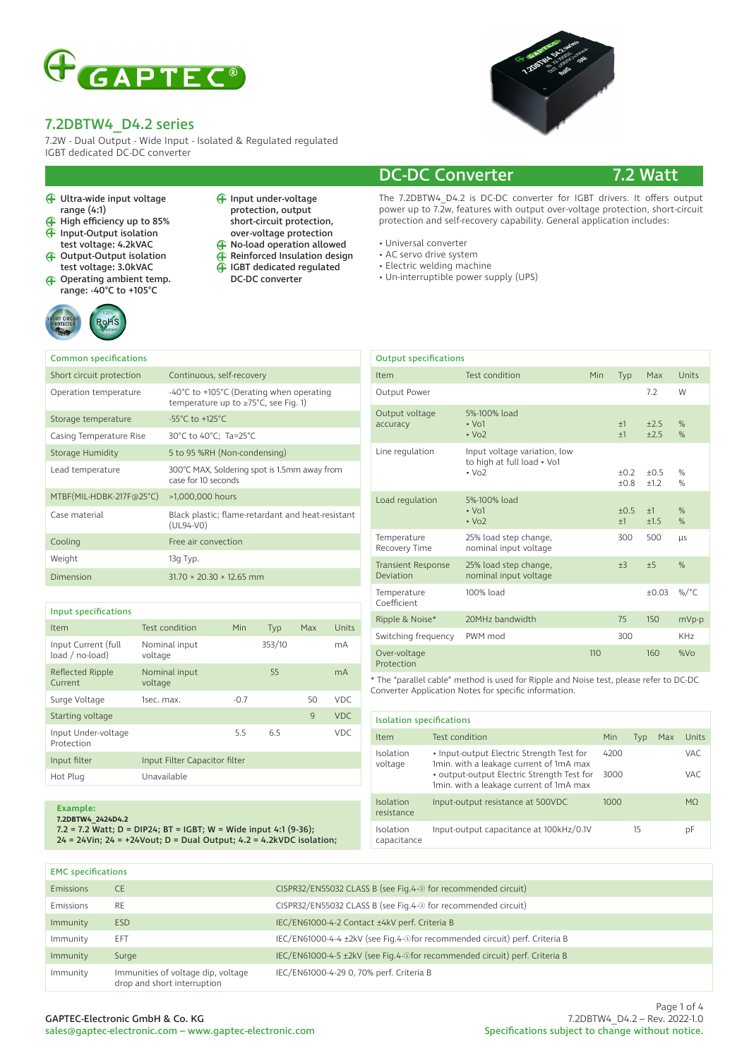

7.2W - Dual Output - Wide Input - Isolated & Regulated regulated IGBT dedicated DC-DC converter

- Ultra-wide input voltage range (4:1)
- $\bigoplus$ High efficiency up to 85%
- $\widehat{H}$  Input-Output isolation test voltage: 4.2kVAC
- Output-Output isolation test voltage: 3.0kVAC
- Operating ambient temp. range: -40°C to +105°C



- Input under-voltage protection, output short-circuit protection, over-voltage protection
- **F** No-load operation allowed
- Reinforced Insulation design
- $\tilde{\bigoplus}$ IGBT dedicated regulated DC-DC converter



### DC-DC Converter 7.2 Watt

The 7.2DBTW4\_D4.2 is DC-DC converter for IGBT drivers. It offers output power up to  $7.2w$ , features with output over-voltage protection, short-circuit protection and self-recovery capability. General application includes:

- Universal converter
- AC servo drive system
- Electric welding machine
- Un-interruptible power supply (UPS)

| <b>Common specifications</b> |                                                                                                                      |
|------------------------------|----------------------------------------------------------------------------------------------------------------------|
| Short circuit protection     | Continuous, self-recovery                                                                                            |
| Operation temperature        | -40 $^{\circ}$ C to +105 $^{\circ}$ C (Derating when operating<br>temperature up to $\geq 75^{\circ}$ C, see Fig. 1) |
| Storage temperature          | $-55^{\circ}$ C to $+125^{\circ}$ C                                                                                  |
| Casing Temperature Rise      | 30°C to 40°C; Ta=25°C                                                                                                |
| Storage Humidity             | 5 to 95 %RH (Non-condensing)                                                                                         |
| Lead temperature             | 300°C MAX, Soldering spot is 1.5mm away from<br>case for 10 seconds                                                  |
| MTBF(MIL-HDBK-217F@25°C)     | >1,000,000 hours                                                                                                     |
| Case material                | Black plastic; flame-retardant and heat-resistant<br>$(UL94-V0)$                                                     |
| Cooling                      | Free air convection                                                                                                  |
| Weight                       | 13g Typ.                                                                                                             |
| Dimension                    | $31.70 \times 20.30 \times 12.65$ mm                                                                                 |

| Input specifications |
|----------------------|
|----------------------|

| Item                                   | Test condition                | Min    | Typ    | Max          | Units |
|----------------------------------------|-------------------------------|--------|--------|--------------|-------|
| Input Current (full<br>load / no-load) | Nominal input<br>voltage      |        | 353/10 |              | mA    |
| Reflected Ripple<br>Current            | Nominal input<br>voltage      |        | 55     |              | mA    |
| Surge Voltage                          | 1sec. max.                    | $-0.7$ |        | 50           | VDC.  |
| Starting voltage                       |                               |        |        | $\mathbf{q}$ | VDC.  |
| Input Under-voltage<br>Protection      |                               | 5.5    | 6.5    |              | VDC.  |
| Input filter                           | Input Filter Capacitor filter |        |        |              |       |
| Hot Plug                               | Unavailable                   |        |        |              |       |
|                                        |                               |        |        |              |       |

#### **Example:**

**7.2DBTW4\_2424D4.2**

7.2 = 7.2 Watt; D = DIP24; BT = IGBT; W = Wide input 4:1 (9-36); 24 = 24Vin; 24 = +24Vout; D = Dual Output; 4.2 = 4.2kVDC isolation;

| <b>Output specifications</b>           |                                                                                       |     |                  |                  |                 |
|----------------------------------------|---------------------------------------------------------------------------------------|-----|------------------|------------------|-----------------|
| Item                                   | <b>Test condition</b>                                                                 | Min | Typ              | Max              | Units           |
| Output Power                           |                                                                                       |     |                  | 7.2              | W               |
| Output voltage<br>accuracy             | 5%-100% load<br>$\cdot$ Vo1<br>$\cdot$ Vo <sub>2</sub>                                |     | $+1$<br>$+1$     | ±2.5<br>±2.5     | $\%$<br>%       |
| Line regulation                        | Input voltage variation, low<br>to high at full load • Vo1<br>$\cdot$ Vo <sub>2</sub> |     | $+0.2$<br>$+0.8$ | $+0.5$<br>$+1.2$ | $\%$<br>%       |
| Load regulation                        | 5%-100% load<br>$\cdot$ Vo1<br>$\cdot$ Vo <sub>2</sub>                                |     | $+0.5$<br>$+1$   | $+1$<br>±1.5     | $\%$<br>$\%$    |
| Temperature<br>Recovery Time           | 25% load step change,<br>nominal input voltage                                        |     | 300              | 500              | <b>LLS</b>      |
| <b>Transient Response</b><br>Deviation | 25% load step change,<br>nominal input voltage                                        |     | ±3               | ±5               | $\frac{9}{6}$   |
| Temperature<br>Coefficient             | 100% load                                                                             |     |                  | $+0.03$          | %/ $^{\circ}$ C |
| Ripple & Noise*                        | 20MHz bandwidth                                                                       |     | 75               | 150              | mVp-p           |
| Switching frequency                    | PWM mod                                                                               |     | 300              |                  | KH <sub>7</sub> |
| Over-voltage<br>Protection             |                                                                                       | 110 |                  | 160              | %V <sub>O</sub> |

\* The "parallel cable" method is used for Ripple and Noise test, please refer to DC-DC Converter Application Notes for specific information.

| <b>Isolation specifications</b> |                                                                                       |      |     |     |           |
|---------------------------------|---------------------------------------------------------------------------------------|------|-----|-----|-----------|
| Item                            | Test condition                                                                        | Min  | Typ | Max | Units     |
| Isolation<br>voltage            | • Input-output Electric Strength Test for<br>1min. with a leakage current of 1mA max  | 4200 |     |     | VAC       |
|                                 | • output-output Electric Strength Test for<br>1min. with a leakage current of 1mA max | 3000 |     |     | VAC       |
| Isolation<br>resistance         | Input-output resistance at 500VDC                                                     | 1000 |     |     | <b>MO</b> |
| Isolation<br>capacitance        | Input-output capacitance at 100kHz/0.1V                                               |      | 15  |     | рF        |

| <b>EMC</b> specifications |                                                                   |                                                                             |
|---------------------------|-------------------------------------------------------------------|-----------------------------------------------------------------------------|
| Emissions                 | <b>CE</b>                                                         | CISPR32/EN55032 CLASS B (see Fig.4-2) for recommended circuit)              |
| Emissions                 | <b>RE</b>                                                         | CISPR32/EN55032 CLASS B (see Fig.4-2) for recommended circuit)              |
| Immunity                  | <b>ESD</b>                                                        | IEC/EN61000-4-2 Contact ±4kV perf. Criteria B                               |
| Immunity                  | EFT                                                               | IEC/EN61000-4-4 ±2kV (see Fig.4-+afor recommended circuit) perf. Criteria B |
| Immunity                  | Surge                                                             | IEC/EN61000-4-5 ±2kV (see Fig.4-@for recommended circuit) perf. Criteria B  |
| Immunity                  | Immunities of voltage dip, voltage<br>drop and short interruption | IEC/EN61000-4-29 0, 70% perf. Criteria B                                    |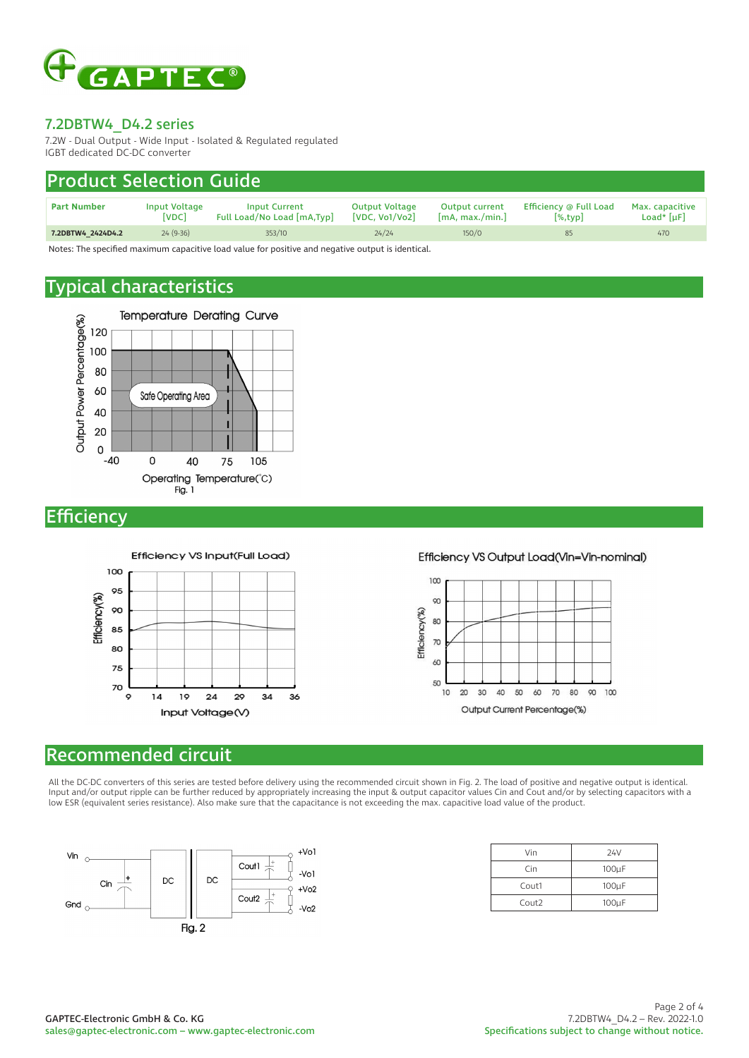

7.2W - Dual Output - Wide Input - Isolated & Regulated regulated IGBT dedicated DC-DC converter

## Product Selection Guide

| <b>Part Number</b> | Input Voltage<br>[VDC] | <b>Input Current</b><br>Full Load/No Load [mA,Typ] | <b>Output Voltage</b><br>[VDC, V <sub>0</sub> 1/V <sub>0</sub> 2] | <b>Output current</b><br>[mA, max./min.] | Efficiency @ Full Load<br>$\left[\%,{\rm{tvp}}\right]$ | Max. capacitive<br>Load* $[\mu$ F $]$ |
|--------------------|------------------------|----------------------------------------------------|-------------------------------------------------------------------|------------------------------------------|--------------------------------------------------------|---------------------------------------|
| 7.2DBTW4 2424D4.2  | $24(9-36)$             | 353/10                                             | 24/24                                                             | 150/0                                    | 85                                                     | 470                                   |

Notes: The specified maximum capacitive load value for positive and negative output is identical.

## Typical characteristics



**Efficiency** 



#### Efficiency VS Output Load(Vin=Vin-nominal)



#### Recommended circuit

All the DC-DC converters of this series are tested before delivery using the recommended circuit shown in Fig. 2. The load of positive and negative output is identical. Input and/or output ripple can be further reduced by appropriately increasing the input & output capacitor values Cin and Cout and/or by selecting capacitors with a low ESR (equivalent series resistance). Also make sure that the capacitance is not exceeding the max. capacitive load value of the product.



| Vin               | 24V        |
|-------------------|------------|
| Cin               | $100\mu F$ |
| Cout1             | $100\mu F$ |
| Cout <sub>2</sub> | $100\mu F$ |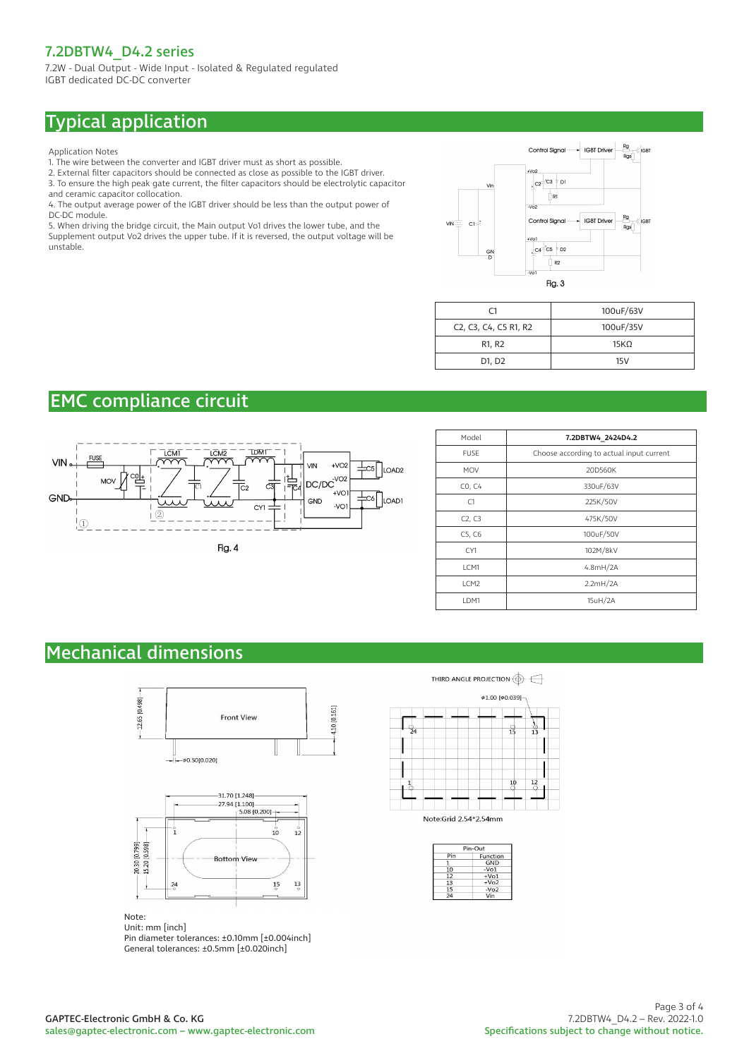7.2W - Dual Output - Wide Input - Isolated & Regulated regulated IGBT dedicated DC-DC converter

# Typical application

Application Notes

- 1. The wire between the converter and IGBT driver must as short as possible.
- 2. External filter capacitors should be connected as close as possible to the IGBT driver.
- 3. To ensure the high peak gate current, the filter capacitors should be electrolytic capacitor and ceramic capacitor collocation.
- 4. The output average power of the IGBT driver should be less than the output power of DC-DC module.

5. When driving the bridge circuit, the Main output Vo1 drives the lower tube, and the Supplement output Vo2 drives the upper tube. If it is reversed, the output voltage will be unstable.



| ۲1                                                                                                | 100uF/63V        |
|---------------------------------------------------------------------------------------------------|------------------|
| C <sub>2</sub> , C <sub>3</sub> , C <sub>4</sub> , C <sub>5</sub> R <sub>1</sub> , R <sub>2</sub> | 100uF/35V        |
| R1, R2                                                                                            | 15K <sub>O</sub> |
| D1, D2                                                                                            | 15V              |

# EMC compliance circuit



| Model            | 7.2DBTW4 2424D4.2                        |
|------------------|------------------------------------------|
| <b>FUSE</b>      | Choose according to actual input current |
| <b>MOV</b>       | 20D560K                                  |
| CO, C4           | 330uF/63V                                |
| C1               | 225K/50V                                 |
| C2, C3           | 475K/50V                                 |
| C5, C6           | 100uF/50V                                |
| CY1              | 102M/8kV                                 |
| LCM1             | 4.8mH/2A                                 |
| LCM <sub>2</sub> | 2.2mH/2A                                 |
| LDM1             | 15uH/2A                                  |

# Mechanical dimensions





Note:

Unit: mm [inch] Pin diameter tolerances: ±0.10mm [±0.004inch] General tolerances: ±0.5mm [±0.020inch]

THIRD ANGLE PROJECTION  $\bigoplus$ 



Note:Grid 2.54\*2.54mm

| Pin-Out |          |  |
|---------|----------|--|
| Pin     | Function |  |
| 1       | GND      |  |
| 10      | $-V01$   |  |
| 12      | $+V01$   |  |
| 13      | $+V02$   |  |
| 15      | $-V02$   |  |
| 74      | Vin      |  |